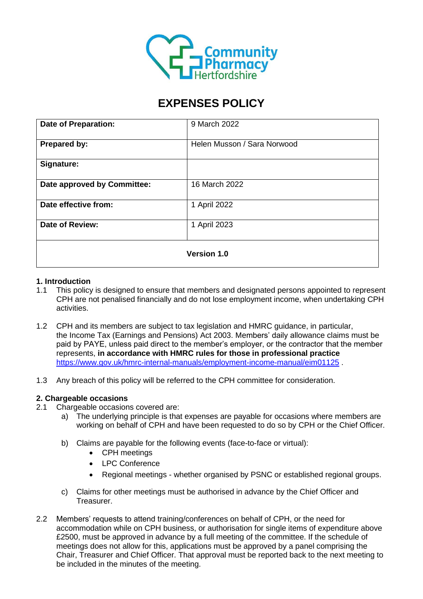

# **EXPENSES POLICY**

| <b>Date of Preparation:</b> | 9 March 2022                |
|-----------------------------|-----------------------------|
| Prepared by:                | Helen Musson / Sara Norwood |
| Signature:                  |                             |
| Date approved by Committee: | 16 March 2022               |
| Date effective from:        | 1 April 2022                |
| <b>Date of Review:</b>      | 1 April 2023                |
| <b>Version 1.0</b>          |                             |

## **1. Introduction**

- 1.1 This policy is designed to ensure that members and designated persons appointed to represent CPH are not penalised financially and do not lose employment income, when undertaking CPH activities.
- 1.2 CPH and its members are subject to tax legislation and HMRC guidance, in particular, the Income Tax (Earnings and Pensions) Act 2003. Members' daily allowance claims must be paid by PAYE, unless paid direct to the member's employer, or the contractor that the member represents, **in accordance with HMRC rules for those in professional practice** <https://www.gov.uk/hmrc-internal-manuals/employment-income-manual/eim01125>
- 1.3 Any breach of this policy will be referred to the CPH committee for consideration.

## **2. Chargeable occasions**

- 2.1 Chargeable occasions covered are:
	- a) The underlying principle is that expenses are payable for occasions where members are working on behalf of CPH and have been requested to do so by CPH or the Chief Officer.
	- b) Claims are payable for the following events (face-to-face or virtual):
		- CPH meetings
		- LPC Conference
		- Regional meetings whether organised by PSNC or established regional groups.
	- c) Claims for other meetings must be authorised in advance by the Chief Officer and Treasurer.
- 2.2 Members' requests to attend training/conferences on behalf of CPH, or the need for accommodation while on CPH business, or authorisation for single items of expenditure above £2500, must be approved in advance by a full meeting of the committee. If the schedule of meetings does not allow for this, applications must be approved by a panel comprising the Chair, Treasurer and Chief Officer. That approval must be reported back to the next meeting to be included in the minutes of the meeting.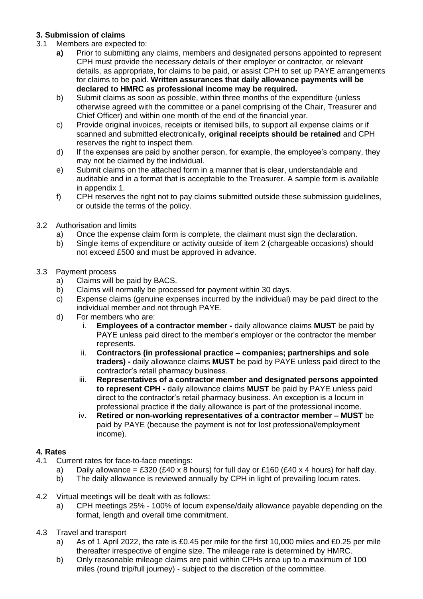## **3. Submission of claims**

- 3.1 Members are expected to:
	- **a)** Prior to submitting any claims, members and designated persons appointed to represent CPH must provide the necessary details of their employer or contractor, or relevant details, as appropriate, for claims to be paid, or assist CPH to set up PAYE arrangements for claims to be paid. **Written assurances that daily allowance payments will be declared to HMRC as professional income may be required.**
	- b) Submit claims as soon as possible, within three months of the expenditure (unless otherwise agreed with the committee or a panel comprising of the Chair, Treasurer and Chief Officer) and within one month of the end of the financial year.
	- c) Provide original invoices, receipts or itemised bills, to support all expense claims or if scanned and submitted electronically, **original receipts should be retained** and CPH reserves the right to inspect them.
	- d) If the expenses are paid by another person, for example, the employee's company, they may not be claimed by the individual.
	- e) Submit claims on the attached form in a manner that is clear, understandable and auditable and in a format that is acceptable to the Treasurer. A sample form is available in appendix 1.
	- f) CPH reserves the right not to pay claims submitted outside these submission guidelines, or outside the terms of the policy.
- 3.2 Authorisation and limits
	- a) Once the expense claim form is complete, the claimant must sign the declaration.
	- b) Single items of expenditure or activity outside of item 2 (chargeable occasions) should not exceed £500 and must be approved in advance.
- 3.3 Payment process
	- a) Claims will be paid by BACS.
	- b) Claims will normally be processed for payment within 30 days.
	- c) Expense claims (genuine expenses incurred by the individual) may be paid direct to the individual member and not through PAYE.
	- d) For members who are:
		- i. **Employees of a contractor member -** daily allowance claims **MUST** be paid by PAYE unless paid direct to the member's employer or the contractor the member represents.
		- ii. **Contractors (in professional practice – companies; partnerships and sole traders) -** daily allowance claims **MUST** be paid by PAYE unless paid direct to the contractor's retail pharmacy business.
		- iii. **Representatives of a contractor member and designated persons appointed to represent CPH -** daily allowance claims **MUST** be paid by PAYE unless paid direct to the contractor's retail pharmacy business. An exception is a locum in professional practice if the daily allowance is part of the professional income.
		- iv. **Retired or non-working representatives of a contractor member – MUST** be paid by PAYE (because the payment is not for lost professional/employment income).

## **4. Rates**

- 4.1 Current rates for face-to-face meetings:
	- a) Daily allowance = £320 (£40 x 8 hours) for full day or £160 (£40 x 4 hours) for half day.
		- b) The daily allowance is reviewed annually by CPH in light of prevailing locum rates.
- 4.2 Virtual meetings will be dealt with as follows:
	- a) CPH meetings 25% 100% of locum expense/daily allowance payable depending on the format, length and overall time commitment.
- 4.3 Travel and transport
	- a) As of 1 April 2022, the rate is £0.45 per mile for the first 10,000 miles and £0.25 per mile thereafter irrespective of engine size. The mileage rate is determined by HMRC.
	- b) Only reasonable mileage claims are paid within CPHs area up to a maximum of 100 miles (round trip/full journey) - subject to the discretion of the committee.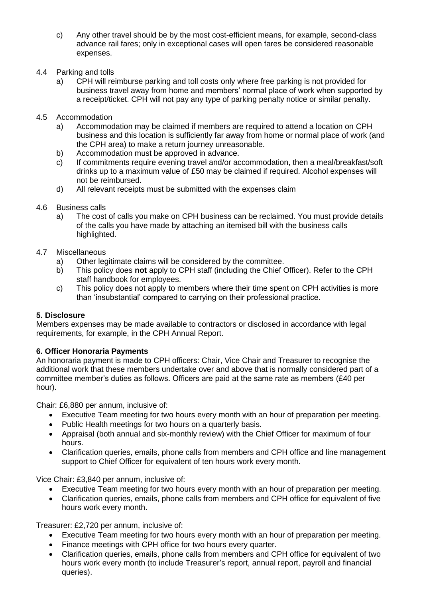- c) Any other travel should be by the most cost-efficient means, for example, second-class advance rail fares; only in exceptional cases will open fares be considered reasonable expenses.
- 4.4 Parking and tolls
	- a) CPH will reimburse parking and toll costs only where free parking is not provided for business travel away from home and members' normal place of work when supported by a receipt/ticket. CPH will not pay any type of parking penalty notice or similar penalty.
- 4.5 Accommodation
	- a) Accommodation may be claimed if members are required to attend a location on CPH business and this location is sufficiently far away from home or normal place of work (and the CPH area) to make a return journey unreasonable.
	- b) Accommodation must be approved in advance.
	- c) If commitments require evening travel and/or accommodation, then a meal/breakfast/soft drinks up to a maximum value of £50 may be claimed if required. Alcohol expenses will not be reimbursed.
	- d) All relevant receipts must be submitted with the expenses claim
- 4.6 Business calls
	- a) The cost of calls you make on CPH business can be reclaimed. You must provide details of the calls you have made by attaching an itemised bill with the business calls highlighted.
- 4.7 Miscellaneous
	- a) Other legitimate claims will be considered by the committee.
	- b) This policy does **not** apply to CPH staff (including the Chief Officer). Refer to the CPH staff handbook for employees.
	- c) This policy does not apply to members where their time spent on CPH activities is more than 'insubstantial' compared to carrying on their professional practice.

## **5. Disclosure**

Members expenses may be made available to contractors or disclosed in accordance with legal requirements, for example, in the CPH Annual Report.

## **6. Officer Honoraria Payments**

An honoraria payment is made to CPH officers: Chair, Vice Chair and Treasurer to recognise the additional work that these members undertake over and above that is normally considered part of a committee member's duties as follows. Officers are paid at the same rate as members (£40 per hour).

Chair: £6,880 per annum, inclusive of:

- Executive Team meeting for two hours every month with an hour of preparation per meeting.
- Public Health meetings for two hours on a quarterly basis.
- Appraisal (both annual and six-monthly review) with the Chief Officer for maximum of four hours.
- Clarification queries, emails, phone calls from members and CPH office and line management support to Chief Officer for equivalent of ten hours work every month.

Vice Chair: £3,840 per annum, inclusive of:

- Executive Team meeting for two hours every month with an hour of preparation per meeting.
- Clarification queries, emails, phone calls from members and CPH office for equivalent of five hours work every month.

Treasurer: £2,720 per annum, inclusive of:

- Executive Team meeting for two hours every month with an hour of preparation per meeting.
- Finance meetings with CPH office for two hours every quarter.
- Clarification queries, emails, phone calls from members and CPH office for equivalent of two hours work every month (to include Treasurer's report, annual report, payroll and financial queries).